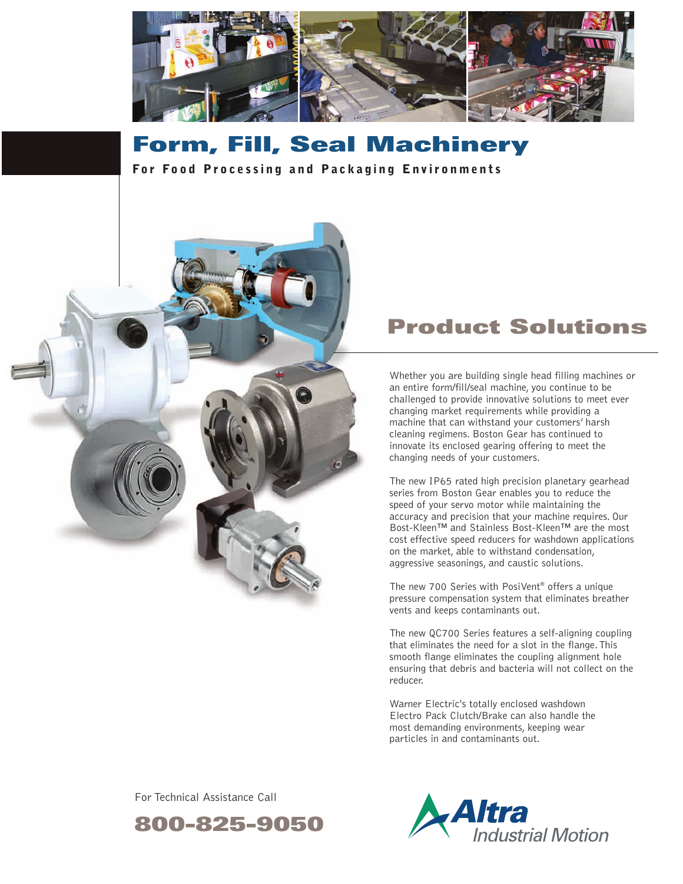

# **Form, Fill, Seal Machinery**

**For Food Processing and Packaging Environments** 



## **Product Solutions**

Whether you are building single head filling machines or an entire form/fill/seal machine, you continue to be challenged to provide innovative solutions to meet ever changing market requirements while providing a machine that can withstand your customers' harsh cleaning regimens. Boston Gear has continued to innovate its enclosed gearing offering to meet the changing needs of your customers.

The new IP65 rated high precision planetary gearhead series from Boston Gear enables you to reduce the speed of your servo motor while maintaining the accuracy and precision that your machine requires. Our Bost-Kleen™ and Stainless Bost-Kleen™ are the most cost effective speed reducers for washdown applications on the market, able to withstand condensation, aggressive seasonings, and caustic solutions.

The new 700 Series with PosiVent® offers a unique pressure compensation system that eliminates breather vents and keeps contaminants out.

The new QC700 Series features a self-aligning coupling that eliminates the need for a slot in the flange.This smooth flange eliminates the coupling alignment hole ensuring that debris and bacteria will not collect on the reducer.

Warner Electric's totally enclosed washdown Electro Pack Clutch/Brake can also handle the most demanding environments, keeping wear particles in and contaminants out.

For Technical Assistance Call